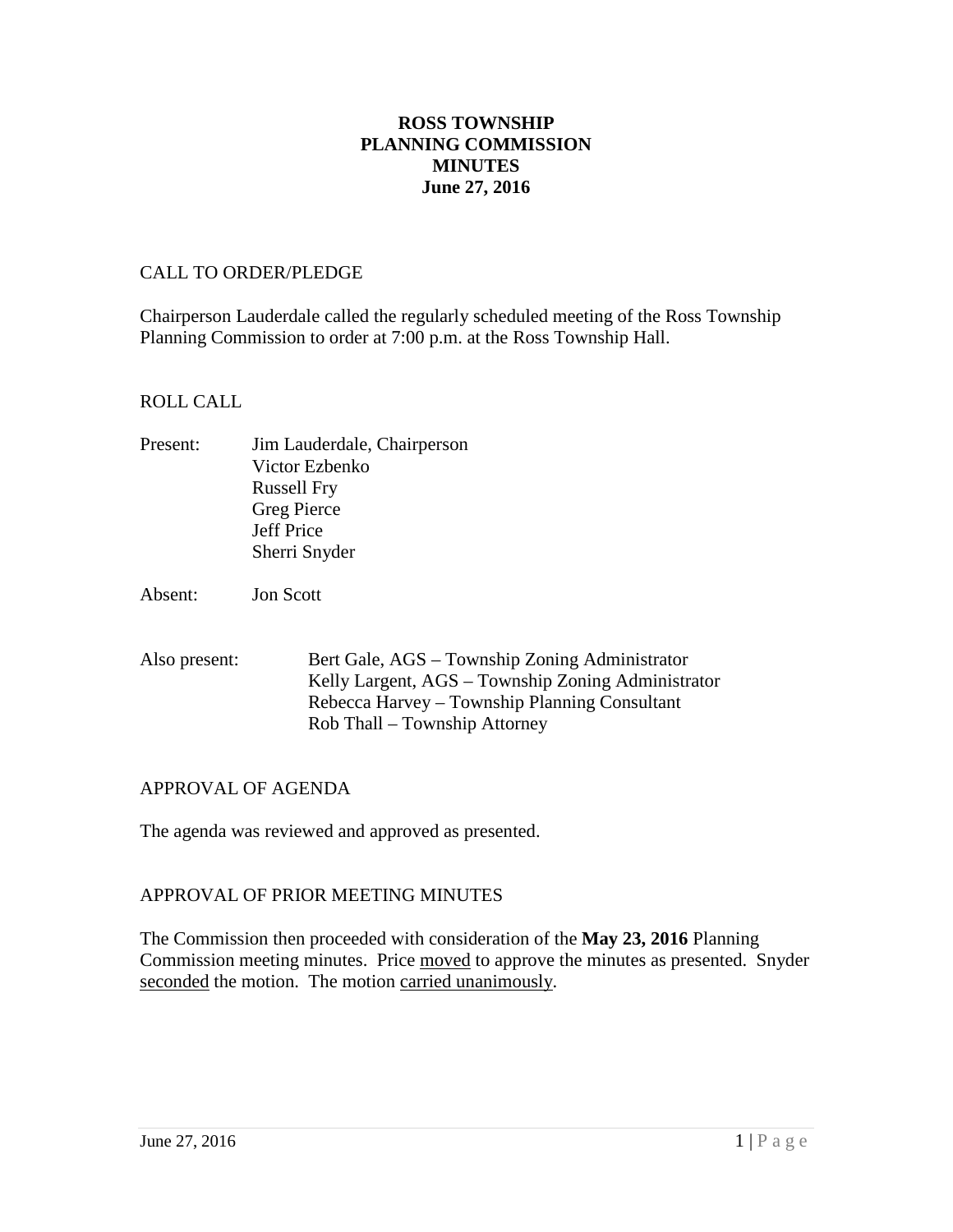## **ROSS TOWNSHIP PLANNING COMMISSION MINUTES June 27, 2016**

### CALL TO ORDER/PLEDGE

Chairperson Lauderdale called the regularly scheduled meeting of the Ross Township Planning Commission to order at 7:00 p.m. at the Ross Township Hall.

#### ROLL CALL

Present: Jim Lauderdale, Chairperson Victor Ezbenko Russell Fry Greg Pierce Jeff Price Sherri Snyder

Absent: Jon Scott

Also present: Bert Gale, AGS – Township Zoning Administrator Kelly Largent, AGS – Township Zoning Administrator Rebecca Harvey – Township Planning Consultant Rob Thall – Township Attorney

## APPROVAL OF AGENDA

The agenda was reviewed and approved as presented.

#### APPROVAL OF PRIOR MEETING MINUTES

The Commission then proceeded with consideration of the **May 23, 2016** Planning Commission meeting minutes. Price moved to approve the minutes as presented. Snyder seconded the motion. The motion carried unanimously.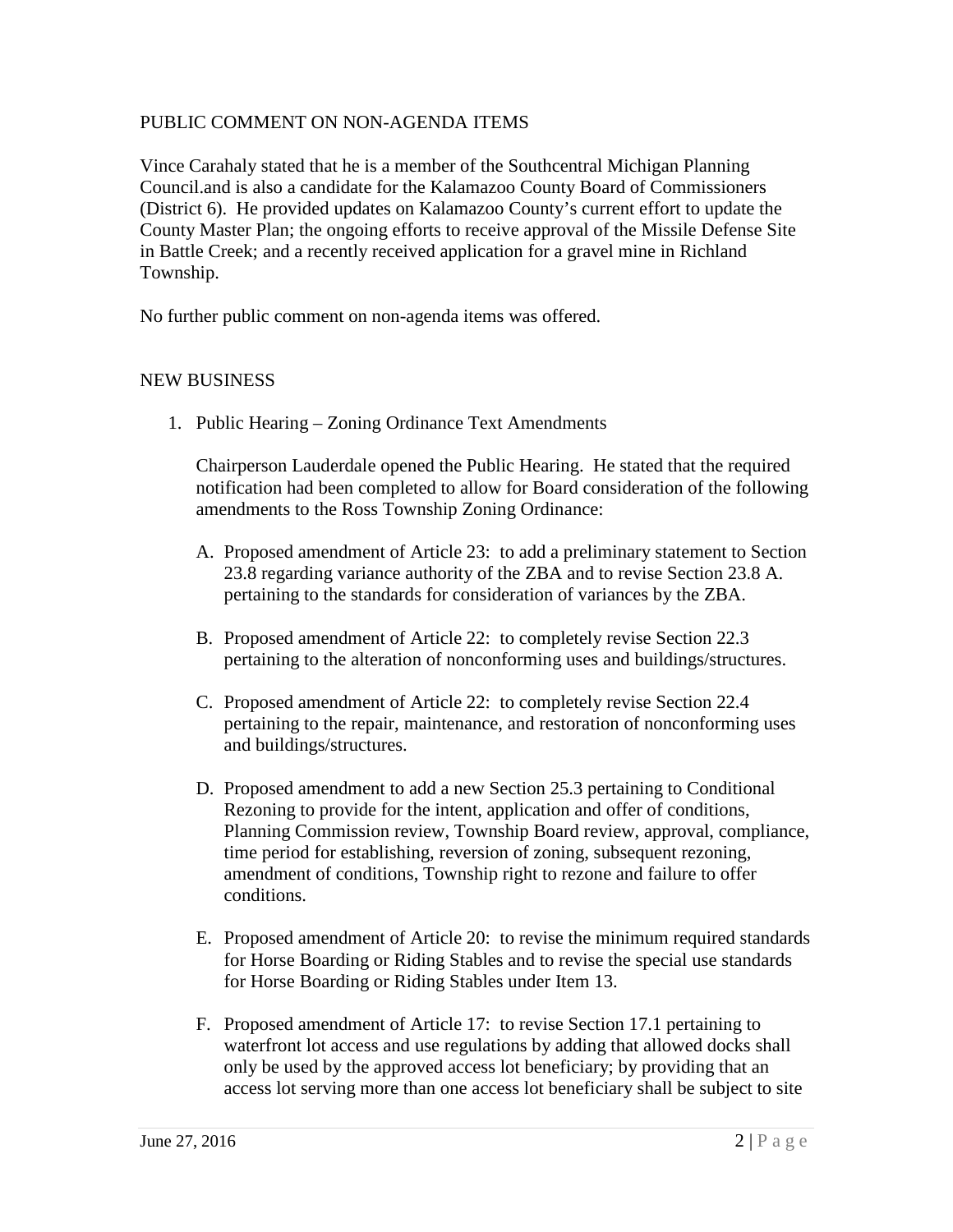### PUBLIC COMMENT ON NON-AGENDA ITEMS

Vince Carahaly stated that he is a member of the Southcentral Michigan Planning Council.and is also a candidate for the Kalamazoo County Board of Commissioners (District 6). He provided updates on Kalamazoo County's current effort to update the County Master Plan; the ongoing efforts to receive approval of the Missile Defense Site in Battle Creek; and a recently received application for a gravel mine in Richland Township.

No further public comment on non-agenda items was offered.

### NEW BUSINESS

1. Public Hearing – Zoning Ordinance Text Amendments

Chairperson Lauderdale opened the Public Hearing. He stated that the required notification had been completed to allow for Board consideration of the following amendments to the Ross Township Zoning Ordinance:

- A. Proposed amendment of Article 23: to add a preliminary statement to Section 23.8 regarding variance authority of the ZBA and to revise Section 23.8 A. pertaining to the standards for consideration of variances by the ZBA.
- B. Proposed amendment of Article 22: to completely revise Section 22.3 pertaining to the alteration of nonconforming uses and buildings/structures.
- C. Proposed amendment of Article 22: to completely revise Section 22.4 pertaining to the repair, maintenance, and restoration of nonconforming uses and buildings/structures.
- D. Proposed amendment to add a new Section 25.3 pertaining to Conditional Rezoning to provide for the intent, application and offer of conditions, Planning Commission review, Township Board review, approval, compliance, time period for establishing, reversion of zoning, subsequent rezoning, amendment of conditions, Township right to rezone and failure to offer conditions.
- E. Proposed amendment of Article 20: to revise the minimum required standards for Horse Boarding or Riding Stables and to revise the special use standards for Horse Boarding or Riding Stables under Item 13.
- F. Proposed amendment of Article 17: to revise Section 17.1 pertaining to waterfront lot access and use regulations by adding that allowed docks shall only be used by the approved access lot beneficiary; by providing that an access lot serving more than one access lot beneficiary shall be subject to site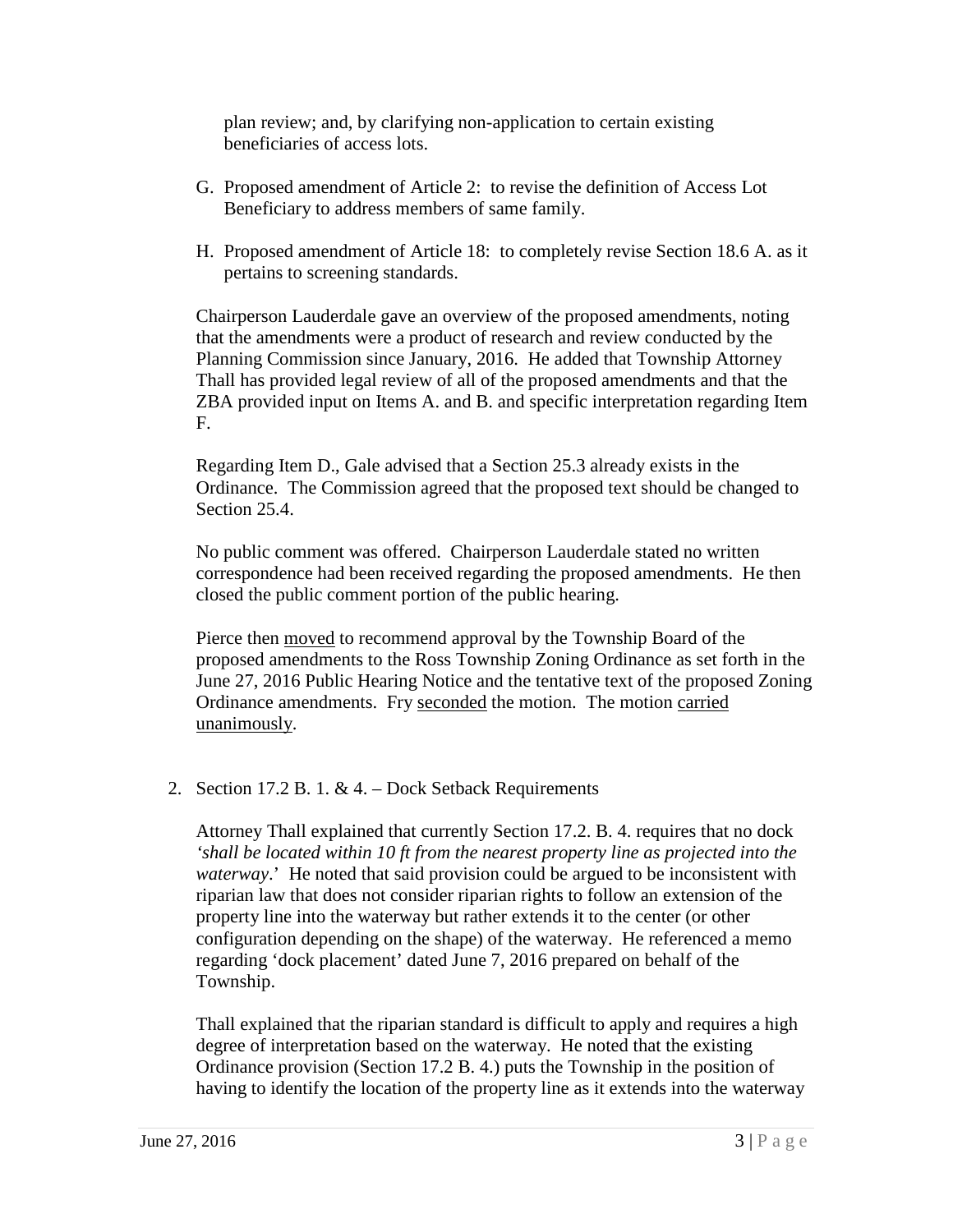plan review; and, by clarifying non-application to certain existing beneficiaries of access lots.

- G. Proposed amendment of Article 2: to revise the definition of Access Lot Beneficiary to address members of same family.
- H. Proposed amendment of Article 18: to completely revise Section 18.6 A. as it pertains to screening standards.

Chairperson Lauderdale gave an overview of the proposed amendments, noting that the amendments were a product of research and review conducted by the Planning Commission since January, 2016. He added that Township Attorney Thall has provided legal review of all of the proposed amendments and that the ZBA provided input on Items A. and B. and specific interpretation regarding Item F.

Regarding Item D., Gale advised that a Section 25.3 already exists in the Ordinance. The Commission agreed that the proposed text should be changed to Section 25.4.

No public comment was offered. Chairperson Lauderdale stated no written correspondence had been received regarding the proposed amendments. He then closed the public comment portion of the public hearing.

Pierce then moved to recommend approval by the Township Board of the proposed amendments to the Ross Township Zoning Ordinance as set forth in the June 27, 2016 Public Hearing Notice and the tentative text of the proposed Zoning Ordinance amendments. Fry seconded the motion. The motion carried unanimously.

2. Section 17.2 B. 1. & 4. – Dock Setback Requirements

Attorney Thall explained that currently Section 17.2. B. 4. requires that no dock *'shall be located within 10 ft from the nearest property line as projected into the waterway*.' He noted that said provision could be argued to be inconsistent with riparian law that does not consider riparian rights to follow an extension of the property line into the waterway but rather extends it to the center (or other configuration depending on the shape) of the waterway. He referenced a memo regarding 'dock placement' dated June 7, 2016 prepared on behalf of the Township.

Thall explained that the riparian standard is difficult to apply and requires a high degree of interpretation based on the waterway. He noted that the existing Ordinance provision (Section 17.2 B. 4.) puts the Township in the position of having to identify the location of the property line as it extends into the waterway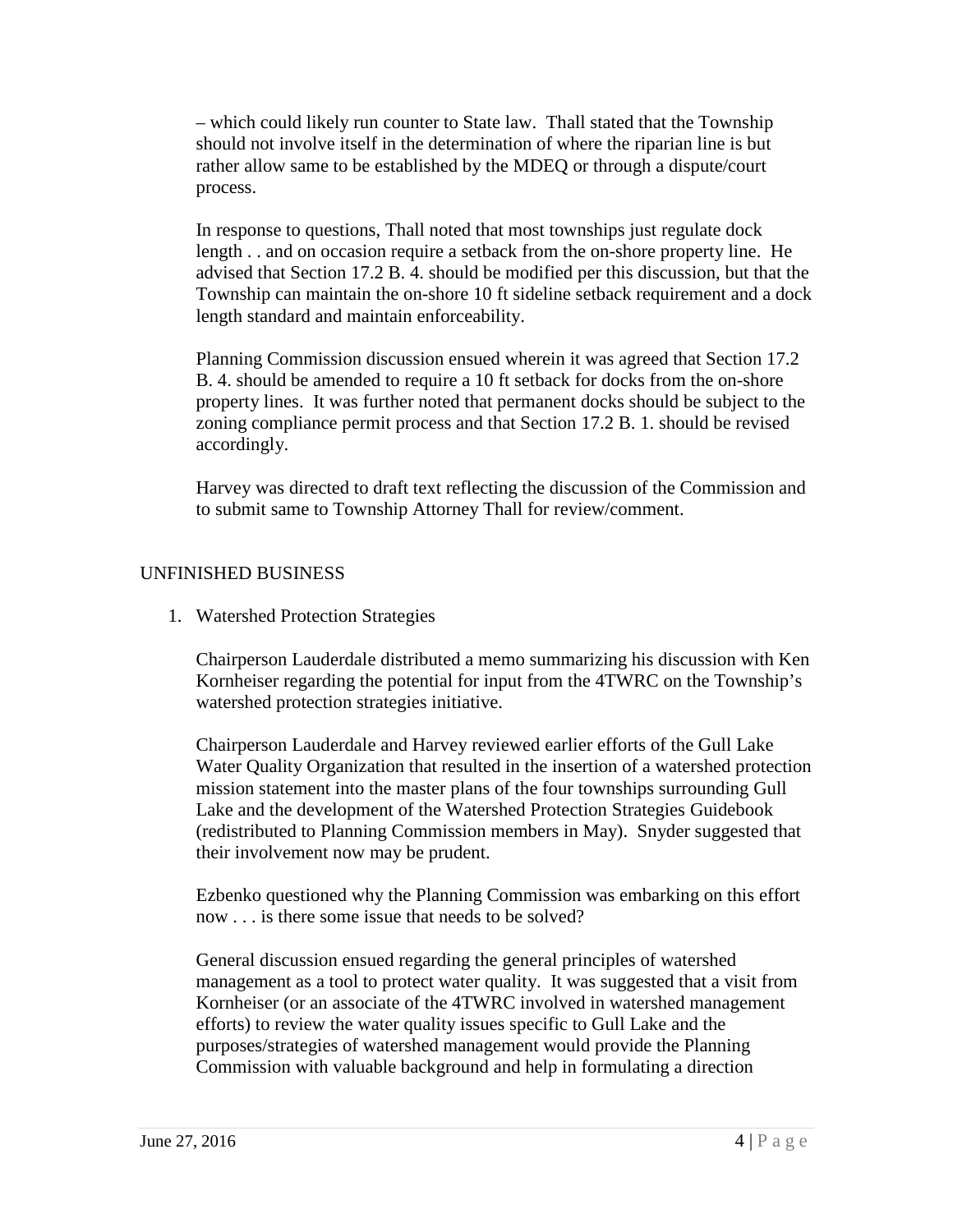– which could likely run counter to State law. Thall stated that the Township should not involve itself in the determination of where the riparian line is but rather allow same to be established by the MDEQ or through a dispute/court process.

In response to questions, Thall noted that most townships just regulate dock length . . and on occasion require a setback from the on-shore property line. He advised that Section 17.2 B. 4. should be modified per this discussion, but that the Township can maintain the on-shore 10 ft sideline setback requirement and a dock length standard and maintain enforceability.

Planning Commission discussion ensued wherein it was agreed that Section 17.2 B. 4. should be amended to require a 10 ft setback for docks from the on-shore property lines. It was further noted that permanent docks should be subject to the zoning compliance permit process and that Section 17.2 B. 1. should be revised accordingly.

Harvey was directed to draft text reflecting the discussion of the Commission and to submit same to Township Attorney Thall for review/comment.

# UNFINISHED BUSINESS

1. Watershed Protection Strategies

Chairperson Lauderdale distributed a memo summarizing his discussion with Ken Kornheiser regarding the potential for input from the 4TWRC on the Township's watershed protection strategies initiative.

Chairperson Lauderdale and Harvey reviewed earlier efforts of the Gull Lake Water Quality Organization that resulted in the insertion of a watershed protection mission statement into the master plans of the four townships surrounding Gull Lake and the development of the Watershed Protection Strategies Guidebook (redistributed to Planning Commission members in May). Snyder suggested that their involvement now may be prudent.

Ezbenko questioned why the Planning Commission was embarking on this effort now . . . is there some issue that needs to be solved?

General discussion ensued regarding the general principles of watershed management as a tool to protect water quality. It was suggested that a visit from Kornheiser (or an associate of the 4TWRC involved in watershed management efforts) to review the water quality issues specific to Gull Lake and the purposes/strategies of watershed management would provide the Planning Commission with valuable background and help in formulating a direction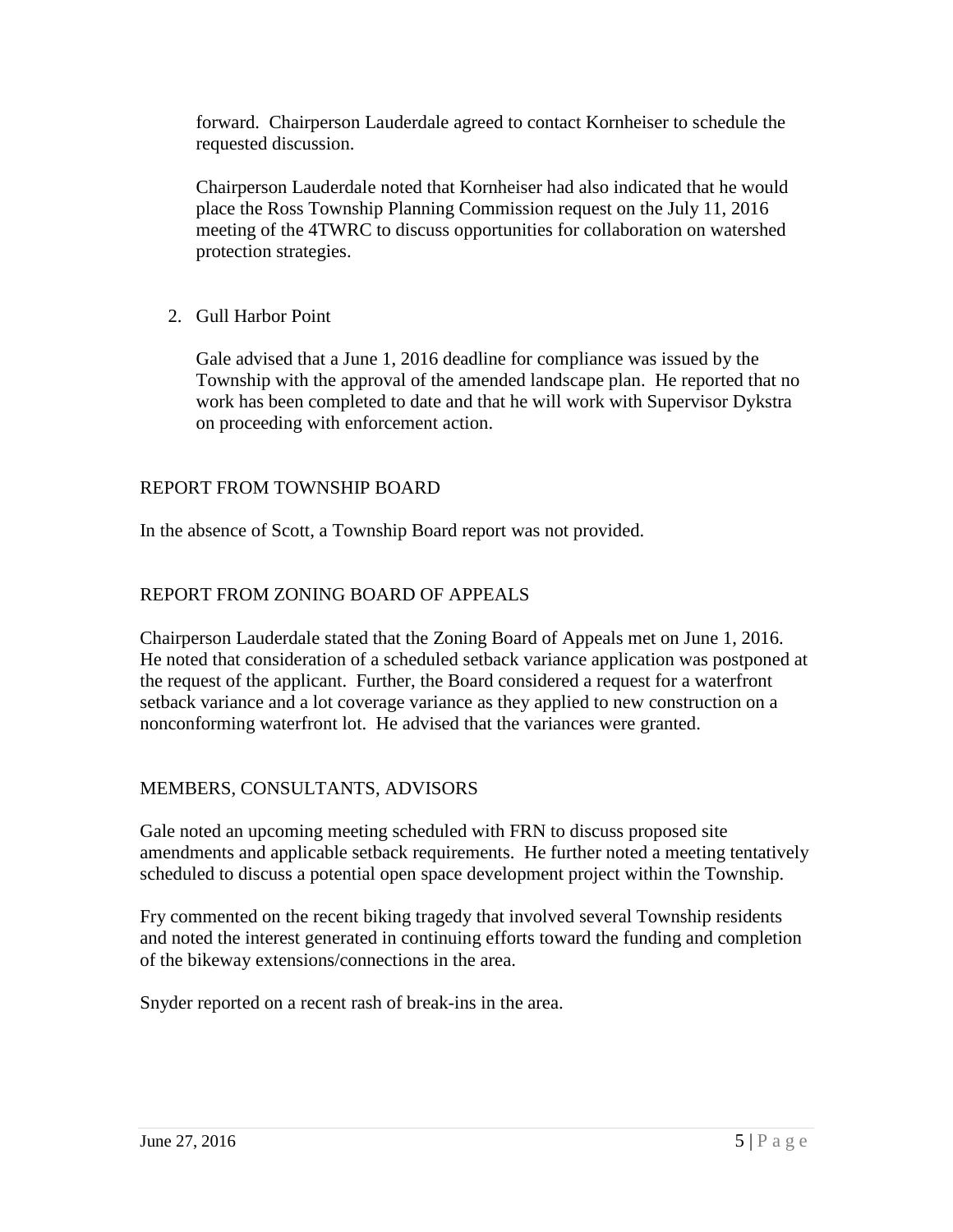forward. Chairperson Lauderdale agreed to contact Kornheiser to schedule the requested discussion.

Chairperson Lauderdale noted that Kornheiser had also indicated that he would place the Ross Township Planning Commission request on the July 11, 2016 meeting of the 4TWRC to discuss opportunities for collaboration on watershed protection strategies.

2. Gull Harbor Point

Gale advised that a June 1, 2016 deadline for compliance was issued by the Township with the approval of the amended landscape plan. He reported that no work has been completed to date and that he will work with Supervisor Dykstra on proceeding with enforcement action.

# REPORT FROM TOWNSHIP BOARD

In the absence of Scott, a Township Board report was not provided.

# REPORT FROM ZONING BOARD OF APPEALS

Chairperson Lauderdale stated that the Zoning Board of Appeals met on June 1, 2016. He noted that consideration of a scheduled setback variance application was postponed at the request of the applicant. Further, the Board considered a request for a waterfront setback variance and a lot coverage variance as they applied to new construction on a nonconforming waterfront lot. He advised that the variances were granted.

## MEMBERS, CONSULTANTS, ADVISORS

Gale noted an upcoming meeting scheduled with FRN to discuss proposed site amendments and applicable setback requirements. He further noted a meeting tentatively scheduled to discuss a potential open space development project within the Township.

Fry commented on the recent biking tragedy that involved several Township residents and noted the interest generated in continuing efforts toward the funding and completion of the bikeway extensions/connections in the area.

Snyder reported on a recent rash of break-ins in the area.